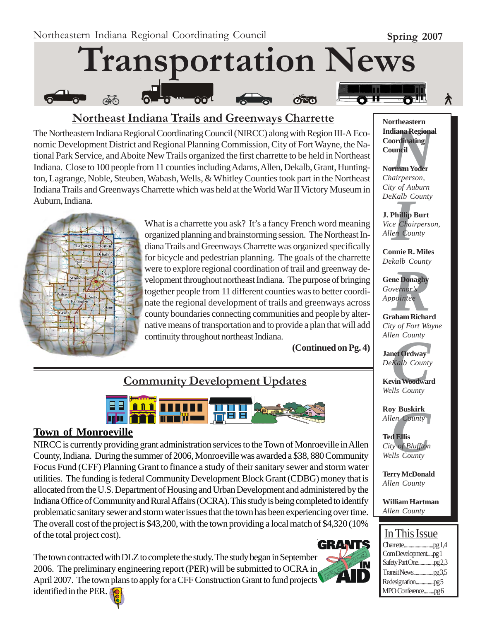

### **Northeast Indiana Trails and Greenways Charrette**

The Northeastern Indiana Regional Coordinating Council (NIRCC) along with Region III-A Economic Development District and Regional Planning Commission, City of Fort Wayne, the National Park Service, and Aboite New Trails organized the first charrette to be held in Northeast Indiana. Close to 100 people from 11 counties including Adams, Allen, Dekalb, Grant, Huntington, Lagrange, Noble, Steuben, Wabash, Wells, & Whitley Counties took part in the Northeast Indiana Trails and Greenways Charrette which was held at the World War II Victory Museum in Auburn, Indiana.



What is a charrette you ask? It's a fancy French word meaning organized planning and brainstorming session. The Northeast Indiana Trails and Greenways Charrette was organized specifically for bicycle and pedestrian planning. The goals of the charrette were to explore regional coordination of trail and greenway development throughout northeast Indiana. The purpose of bringing together people from 11 different counties was to better coordinate the regional development of trails and greenways across county boundaries connecting communities and people by alternative means of transportation and to provide a plan that will add continuity throughout northeast Indiana.

 **(Continued on Pg. 4)**

# **Community Development Updates**



#### **Town of Monroeville**

NIRCC is currently providing grant administration services to the Town of Monroeville in Allen County, Indiana. During the summer of 2006, Monroeville was awarded a \$38, 880 Community Focus Fund (CFF) Planning Grant to finance a study of their sanitary sewer and storm water utilities. The funding is federal Community Development Block Grant (CDBG) money that is allocated from the U.S. Department of Housing and Urban Development and administered by the Indiana Office of Community and Rural Affairs (OCRA). This study is being completed to identify problematic sanitary sewer and storm water issues that the town has been experiencing over time. The overall cost of the project is \$43,200, with the town providing a local match of \$4,320 (10% of the total project cost).

The town contracted with DLZ to complete the study. The study began in September 2006. The preliminary engineering report (PER) will be submitted to OCRA in April 2007. The town plans to apply for a CFF Construction Grant to fund projects identified in the PER.



**Mortheastern<br>
Indiana Regional<br>
Coordinating<br>
Council<br>
Norman Yoder<br>** *Chairperson***, Northeastern Coordinating Council**

**Norman Yoder** *Chairperson, City of Auburn DeKalb County*

*I* **J. Phillip Burt** *Vice Chairperson, Allen County*

**Connie R. Miles** *Dekalb County*

**ne Donaghy**<br>*Reports*<br>*Repointed*<br>*Repointed*<br>Reports **Gene Donaghy** *Governor's Appointee*

**Graham Richard** *City of Fort Wayne Allen County*

*en County<br>Angle County<br>Kalb County<br>vin Woodwar<br>Ils County* **Janet Ordway** *DeKalb County*

**Kevin Woodward** *Wells County*

**Roy Buskirk** *Allen County*

**y Buskirk**<br> *County*<br> **County**<br> **County**<br> **County Ted Ellis** *City of Bluffton Wells County*

**Terry McDonald** *Allen County*

**William Hartman** *Allen County*

## In This Issue

| Com Developmentpg 1 |  |
|---------------------|--|
|                     |  |
|                     |  |
|                     |  |
| MPO Conferencepg6   |  |

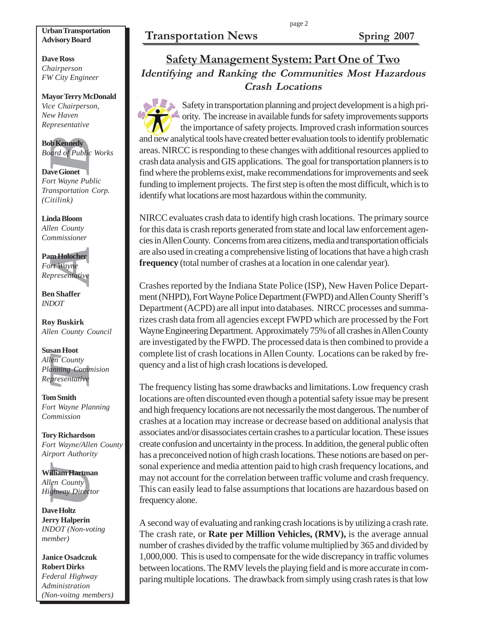# **Transportation News Spring 2007 Urban Transportation**

# **Advisory Board**

**Dave Ross** *Chairperson FW City Engineer*

#### **Mayor Terry McDonald**

*Vice Chairperson, New Haven Representative*

**Bob Kennedy** *Board of Public Works*

**Dave Gionet** *Fort Wayne Public Transportation Corp. (Citilink)*

**Linda Bloom** *Allen County Commissioner*

**Pam Holocher** *Fort Wayne Representative*

**Ben Shaffer** *INDOT*

**Roy Buskirk** *Allen County Council*

 *Undergoint Schemedy<br>And of Publicand of Publicand of Publicand Internal Anapportation<br>Ittilink)***<br><b>India Bloom**<br> *Undergoint County mimissioner*<br>**In Holocher Presentative**<br>**In Shaffer**<br>**DOT**<br>**Dy Buskirk**<br>**DOT**<br>**Dy Buskir Susan Hoot** *Allen County Planning Commision Representative*

**Tom Smith** *Fort Wayne Planning Commission*

**Tory Richardson** *Fort Wayne/Allen County Airport Authority*

**William Hartman** *Allen County Highway Director*

**Dave Holtz Jerry Halperin** *INDOT (Non-voting member)*

**Janice Osadczuk Robert Dirks** *Federal Highway Administration (Non-voitng members)*

# **Safety Management System: Part One of Two Identifying and Ranking the Communities Most Hazardous Crash Locations**

Safety in transportation planning and project development is a high priority. The increase in available funds for safety improvements supports the importance of safety projects. Improved crash information sources and new analytical tools have created better evaluation tools to identify problematic areas. NIRCC is responding to these changes with additional resources applied to crash data analysis and GIS applications. The goal for transportation planners is to find where the problems exist, make recommendations for improvements and seek funding to implement projects. The first step is often the most difficult, which is to identify what locations are most hazardous within the community.

NIRCC evaluates crash data to identify high crash locations. The primary source for this data is crash reports generated from state and local law enforcement agencies in Allen County. Concerns from area citizens, media and transportation officials are also used in creating a comprehensive listing of locations that have a high crash **frequency** (total number of crashes at a location in one calendar year).

Crashes reported by the Indiana State Police (ISP), New Haven Police Department (NHPD), Fort Wayne Police Department (FWPD) and Allen County Sheriff's Department (ACPD) are all input into databases. NIRCC processes and summarizes crash data from all agencies except FWPD which are processed by the Fort Wayne Engineering Department. Approximately 75% of all crashes in Allen County are investigated by the FWPD. The processed data is then combined to provide a complete list of crash locations in Allen County. Locations can be raked by frequency and a list of high crash locations is developed.

The frequency listing has some drawbacks and limitations. Low frequency crash locations are often discounted even though a potential safety issue may be present and high frequency locations are not necessarily the most dangerous. The number of crashes at a location may increase or decrease based on additional analysis that associates and/or disassociates certain crashes to a particular location. These issues create confusion and uncertainty in the process. In addition, the general public often has a preconceived notion of high crash locations. These notions are based on personal experience and media attention paid to high crash frequency locations, and may not account for the correlation between traffic volume and crash frequency. This can easily lead to false assumptions that locations are hazardous based on frequency alone.

A second way of evaluating and ranking crash locations is by utilizing a crash rate. The crash rate, or **Rate per Million Vehicles, (RMV),** is the average annual number of crashes divided by the traffic volume multiplied by 365 and divided by 1,000,000. This is used to compensate for the wide discrepancy in traffic volumes between locations. The RMV levels the playing field and is more accurate in comparing multiple locations. The drawback from simply using crash rates is that low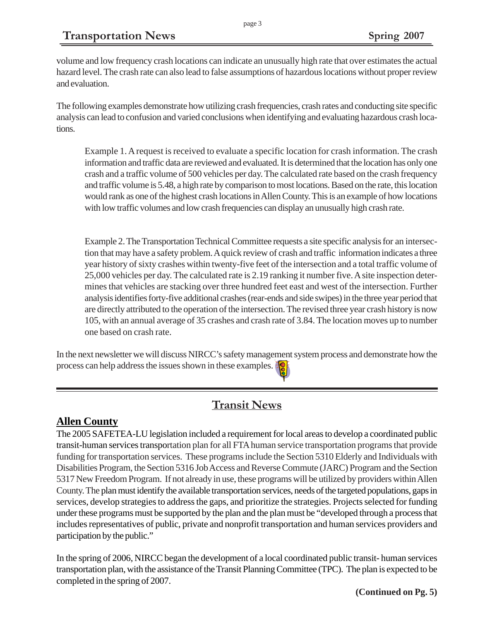volume and low frequency crash locations can indicate an unusually high rate that over estimates the actual hazard level. The crash rate can also lead to false assumptions of hazardous locations without proper review and evaluation.

The following examples demonstrate how utilizing crash frequencies, crash rates and conducting site specific analysis can lead to confusion and varied conclusions when identifying and evaluating hazardous crash locations.

Example 1. A request is received to evaluate a specific location for crash information. The crash information and traffic data are reviewed and evaluated. It is determined that the location has only one crash and a traffic volume of 500 vehicles per day. The calculated rate based on the crash frequency and traffic volume is 5.48, a high rate by comparison to most locations. Based on the rate, this location would rank as one of the highest crash locations in Allen County. This is an example of how locations with low traffic volumes and low crash frequencies can display an unusually high crash rate.

Example 2. The Transportation Technical Committee requests a site specific analysis for an intersection that may have a safety problem. A quick review of crash and traffic information indicates a three year history of sixty crashes within twenty-five feet of the intersection and a total traffic volume of 25,000 vehicles per day. The calculated rate is 2.19 ranking it number five. A site inspection determines that vehicles are stacking over three hundred feet east and west of the intersection. Further analysis identifies forty-five additional crashes (rear-ends and side swipes) in the three year period that are directly attributed to the operation of the intersection. The revised three year crash history is now 105, with an annual average of 35 crashes and crash rate of 3.84. The location moves up to number one based on crash rate.

In the next newsletter we will discuss NIRCC's safety management system process and demonstrate how the process can help address the issues shown in these examples.

## **Transit News**

#### **Allen County**

The 2005 SAFETEA-LU legislation included a requirement for local areas to develop a coordinated public transit-human services transportation plan for all FTA human service transportation programs that provide funding for transportation services. These programs include the Section 5310 Elderly and Individuals with Disabilities Program, the Section 5316 Job Access and Reverse Commute (JARC) Program and the Section 5317 New Freedom Program. If not already in use, these programs will be utilized by providers within Allen County. The plan must identify the available transportation services, needs of the targeted populations, gaps in services, develop strategies to address the gaps, and prioritize the strategies. Projects selected for funding under these programs must be supported by the plan and the plan must be "developed through a process that includes representatives of public, private and nonprofit transportation and human services providers and participation by the public."

In the spring of 2006, NIRCC began the development of a local coordinated public transit- human services transportation plan, with the assistance of the Transit Planning Committee (TPC). The plan is expected to be completed in the spring of 2007.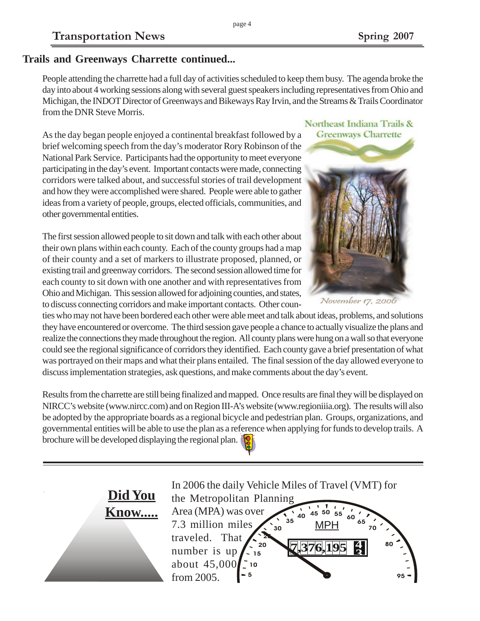#### **Trails and Greenways Charrette continued...**

People attending the charrette had a full day of activities scheduled to keep them busy. The agenda broke the day into about 4 working sessions along with several guest speakers including representatives from Ohio and Michigan, the INDOT Director of Greenways and Bikeways Ray Irvin, and the Streams & Trails Coordinator from the DNR Steve Morris.

As the day began people enjoyed a continental breakfast followed by a brief welcoming speech from the day's moderator Rory Robinson of the National Park Service. Participants had the opportunity to meet everyone participating in the day's event. Important contacts were made, connecting corridors were talked about, and successful stories of trail development and how they were accomplished were shared. People were able to gather ideas from a variety of people, groups, elected officials, communities, and other governmental entities.

The first session allowed people to sit down and talk with each other about their own plans within each county. Each of the county groups had a map of their county and a set of markers to illustrate proposed, planned, or existing trail and greenway corridors. The second session allowed time for each county to sit down with one another and with representatives from Ohio and Michigan. This session allowed for adjoining counties, and states, to discuss connecting corridors and make important contacts. Other coun-

ties who may not have been bordered each other were able meet and talk about ideas, problems, and solutions they have encountered or overcome. The third session gave people a chance to actually visualize the plans and realize the connections they made throughout the region. All county plans were hung on a wall so that everyone could see the regional significance of corridors they identified. Each county gave a brief presentation of what was portrayed on their maps and what their plans entailed. The final session of the day allowed everyone to discuss implementation strategies, ask questions, and make comments about the day's event.

Results from the charrette are still being finalized and mapped. Once results are final they will be displayed on NIRCC's website (www.nircc.com) and on Region III-A's website (www.regioniiia.org). The results will also be adopted by the appropriate boards as a regional bicycle and pedestrian plan. Groups, organizations, and governmental entities will be able to use the plan as a reference when applying for funds to develop trails. A brochure will be developed displaying the regional plan.



Northeast Indiana Trails & **Greenways Charrette** 



November 17, 2006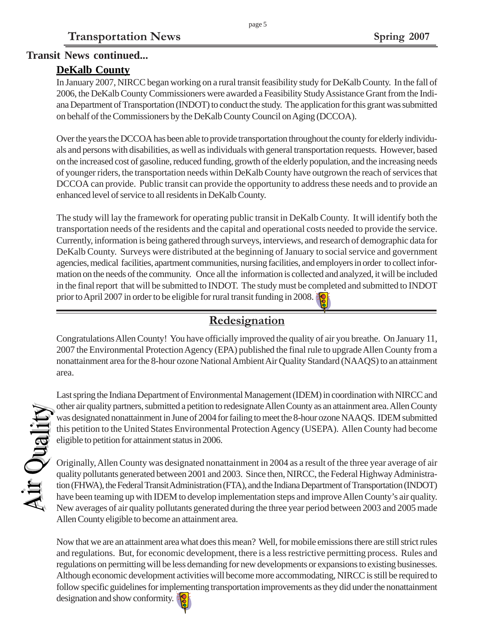# **Transit News continued...**

#### **DeKalb County**

In January 2007, NIRCC began working on a rural transit feasibility study for DeKalb County. In the fall of 2006, the DeKalb County Commissioners were awarded a Feasibility Study Assistance Grant from the Indiana Department of Transportation (INDOT) to conduct the study. The application for this grant was submitted on behalf of the Commissioners by the DeKalb County Council on Aging (DCCOA).

Over the years the DCCOA has been able to provide transportation throughout the county for elderly individuals and persons with disabilities, as well as individuals with general transportation requests. However, based on the increased cost of gasoline, reduced funding, growth of the elderly population, and the increasing needs of younger riders, the transportation needs within DeKalb County have outgrown the reach of services that DCCOA can provide. Public transit can provide the opportunity to address these needs and to provide an enhanced level of service to all residents in DeKalb County.

The study will lay the framework for operating public transit in DeKalb County. It will identify both the transportation needs of the residents and the capital and operational costs needed to provide the service. Currently, information is being gathered through surveys, interviews, and research of demographic data for DeKalb County. Surveys were distributed at the beginning of January to social service and government agencies, medical facilities, apartment communities, nursing facilities, and employers in order to collect information on the needs of the community. Once all the information is collected and analyzed, it will be included in the final report that will be submitted to INDOT. The study must be completed and submitted to INDOT prior to April 2007 in order to be eligible for rural transit funding in 2008.

# **Redesignation**

Congratulations Allen County! You have officially improved the quality of air you breathe. On January 11, 2007 the Environmental Protection Agency (EPA) published the final rule to upgrade Allen County from a nonattainment area for the 8-hour ozone National Ambient Air Quality Standard (NAAQS) to an attainment area.

Last spring the Indiana Department of Environmental Management (IDEM) in coordination with NIRCC and other air quality partners, submitted a petition to redesignate Allen County as an attainment area. Allen County was designated nonattainment in June of 2004 for failing to meet the 8-hour ozone NAAQS. IDEM submitted this petition to the United States Environmental Protection Agency (USEPA). Allen County had become eligible to petition for attainment status in 2006.

Originally, Allen County was designated nonattainment in 2004 as a result of the three year average of air quality pollutants generated between 2001 and 2003. Since then, NIRCC, the Federal Highway Administration (FHWA), the Federal Transit Administration (FTA), and the Indiana Department of Transportation (INDOT) have been teaming up with IDEM to develop implementation steps and improve Allen County's air quality. New averages of air quality pollutants generated during the three year period between 2003 and 2005 made Allen County eligible to become an attainment area.

Now that we are an attainment area what does this mean? Well, for mobile emissions there are still strict rules and regulations. But, for economic development, there is a less restrictive permitting process. Rules and regulations on permitting will be less demanding for new developments or expansions to existing businesses. Although economic development activities will become more accommodating, NIRCC is still be required to follow specific guidelines for implementing transportation improvements as they did under the nonattainment designation and show conformity.